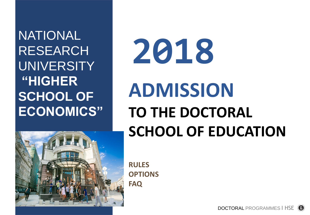NATIONAL RESEARCH UNIVERSITY **"HIGHER SCHOOL OF ECONOMICS"**



**2018**

# **ADMISSION TO THE DOCTORAL SCHOOL OF EDUCATION**

**RULES OPTIONS FAQ**

> DOCTORAL PROGRAMMES I HSE(R)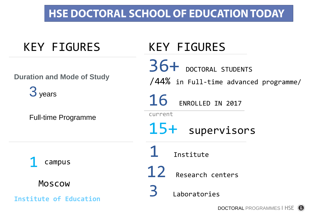## **HSE DOCTORAL SCHOOL OF EDUCATION TODAY**

# KEY FIGURES

**Duration and Mode of Study**

3<sub>years</sub>

Full-time Programme

campus

Moscow

**Institute of Education**

# KEY FIGURES

36+ DOCTORAL STUDENTS current 15+ supervisors /44% in Full-time advanced programme/ 16 ENROLLED IN 2017

**Institute** 

12 Research centers

3 Laboratories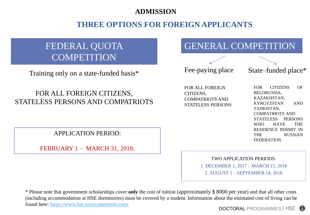#### **ADMISSION**

### **THREE OPTIONS FOR FOREIGN APPLICANTS**

### FEDERAL QUOTA **COMPETITION**

Training only on a state-funded basis\*

#### FOR ALL FOREIGN CITIZENS, STATELESS PERSONS AND COMPATRIOTS

APPLICATION PERIOD:

FEBRUARY 1 – MARCH 31, 2018.

GENERAL COMPETITION

Fee-paying place State–funded place\*

FOR ALL FOREIGN CITIZENS, COMPATRIOTS AND STATELESS PERSONS

FOR CITIZENS OF BELORUSSIA, KAZAKHSTAN, KYRGYZSTAN AND TAJIKISTAN, COMPATRIOTS AND STATELESS PERSONS WHO HAVE THE RESIDENCE PERMIT IN THE RUSSIAN FEDERATION

TWO APPLICATION PERIODS:

1. DECEMBER 1, 2017 – MARCH 15, 2018

2. AUGUST 1 – SEPTEMBER 14, 2018

\* Please note that government scholarships cover **only** the cost of tuition (approximately \$ 8000 per year) and that all other costs (including accommodation at HSE dormitories) must be covered by a student. Information about the estimated cost of living can be found here: <https://www.hse.ru/recommends/costs>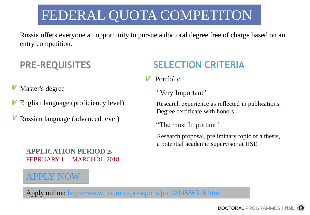# FEDERAL QUOTA COMPETITON

Russia offers everyone an opportunity to pursue a doctoral degree free of charge based on an entry competition.

### **PRE-REQUISITES**

- Master's degree V
- English language (proficiency level) V
- Russian language (advanced level)

#### **APPLICATION PERIOD** is FEBRUARY 1 – MARCH 31, 2018.

### PPLY NOW

### **SELECTION CRITERIA**

- **V** Portfolio
	- "Very Important"

Research experience as reflected in publications. Degree certificate with honors.

"The most Important"

Research proposal, preliminary topic of a thesis, a potential academic supervisor at HSE

Apply online: <https://www.hse.ru/expresspolls/poll/214586316.html>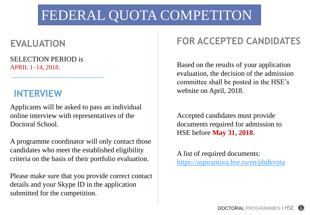# FEDERAL QUOTA COMPETITON

### **EVALUATION**

SELECTION PERIOD is APRIL 1–14, 2018.

### **INTERVIEW**

Applicants will be asked to pass an individual online interview with representatives of the Doctoral School.

A programme coordinator will only contact those candidates who meet the established eligibility criteria on the basis of their portfolio evaluation.

Please make sure that you provide correct contact details and your Skype ID in the application submitted for the competition.

### **FOR ACCEPTED CANDIDATES**

Based on the results of your application evaluation, the decision of the admission committee shall be posted in the HSE's website on April, 2018.

Accepted candidates must provide documents required for admission to HSE before **May 31, 2018**.

A list of required documents: <https://aspirantura.hse.ru/en/phdkvota>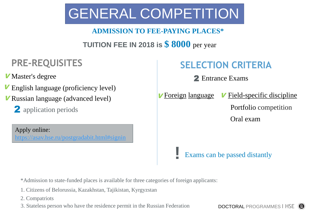# GENERAL COMPETITION

### **ADMISSION TO FEE-PAYING PLACES\***

### **TUITION FEE IN 2018 is \$ 8000** per year

### **PRE-REQUISITES**

*V* Master's degree

- **V** English language (proficiency level)
- <sup>V</sup> Russian language (advanced level)
	- 2 application periods

Apply online: <https://asav.hse.ru/postgradabit.html#signin>

### **SELECTION CRITERIA**

Master's degree 2 Entrance Exams

*<u>V* Foreign language</u>

**!**

 $V$  Field-specific discipline Portfolio competition Oral exam

Exams can be passed distantly

\*Admission to state-funded places is available for three categories of foreign applicants:

- 1. Citizens of Belorussia, Kazakhstan, Tajikistan, Kyrgyzstan
- 2. Compatriots

3. Stateless person who have the residence permit in the Russian Federation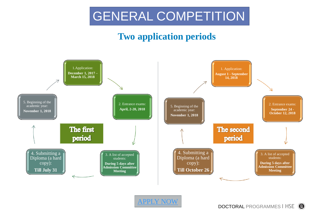

### **Two application periods**

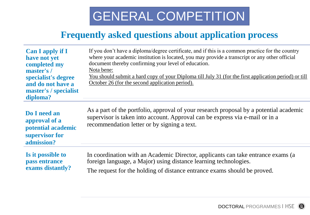# GENERAL COMPETITION

### **Frequently asked questions about application process**

| <b>Can I apply if I</b><br>have not yet<br>completed my<br>master's /<br>specialist's degree<br>and do not have a<br>master's / specialist<br>diploma? | If you don't have a diploma/degree certificate, and if this is a common practice for the country<br>where your academic institution is located, you may provide a transcript or any other official<br>document thereby confirming your level of education.<br>Nota bene:<br>You should submit a hard copy of your Diploma till July 31 (for the first application period) or till<br>October 26 (for the second application period). |
|--------------------------------------------------------------------------------------------------------------------------------------------------------|--------------------------------------------------------------------------------------------------------------------------------------------------------------------------------------------------------------------------------------------------------------------------------------------------------------------------------------------------------------------------------------------------------------------------------------|
| Do I need an<br>approval of a<br>potential academic<br>supervisor for<br>admission?                                                                    | As a part of the portfolio, approval of your research proposal by a potential academic<br>supervisor is taken into account. Approval can be express via e-mail or in a<br>recommendation letter or by signing a text.                                                                                                                                                                                                                |
| Is it possible to<br>pass entrance<br>exams distantly?                                                                                                 | In coordination with an Academic Director, applicants can take entrance exams (a                                                                                                                                                                                                                                                                                                                                                     |
|                                                                                                                                                        | foreign language, a Major) using distance learning technologies.                                                                                                                                                                                                                                                                                                                                                                     |
|                                                                                                                                                        | The request for the holding of distance entrance exams should be proved.                                                                                                                                                                                                                                                                                                                                                             |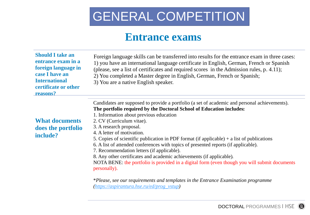# GENERAL COMPETITION

### **Entrance exams**

| <b>Should I take an</b><br>entrance exam in a<br>foreign language in<br>case I have an<br><b>International</b><br>certificate or other<br>reasons? | Foreign language skills can be transferred into results for the entrance exam in three cases:<br>1) you have an international language certificate in English, German, French or Spanish<br>(please, see a list of certificates and required scores in the Admission rules, p. 4.11);<br>2) You completed a Master degree in English, German, French or Spanish;<br>3) You are a native English speaker.                                                                                                                                                                                                                                                                                                                             |
|----------------------------------------------------------------------------------------------------------------------------------------------------|--------------------------------------------------------------------------------------------------------------------------------------------------------------------------------------------------------------------------------------------------------------------------------------------------------------------------------------------------------------------------------------------------------------------------------------------------------------------------------------------------------------------------------------------------------------------------------------------------------------------------------------------------------------------------------------------------------------------------------------|
| <b>What documents</b><br>does the portfolio<br>include?                                                                                            | Candidates are supposed to provide a portfolio (a set of academic and personal achievements).<br>The portfolio required by the Doctoral School of Education includes:<br>1. Information about previous education<br>2. CV (Curriculum vitae).<br>3. A research proposal.<br>4. A letter of motivation.<br>5. Copies of scientific publication in PDF format (if applicable) $+$ a list of publications<br>6. A list of attended conferences with topics of presented reports (if applicable).<br>7. Recommendation letters (if applicable).<br>8. Any other certificates and academic achievements (if applicable).<br>NOTA BENE: the portfolio is provided in a digital form (even though you will submit documents<br>personally). |

\**Please, see our* r*equirements and templates in the Entrance Examination programme [\(https://aspirantura.hse.ru/ed/prog\\_vstup\)](https://aspirantura.hse.ru/ed/prog_vstup)*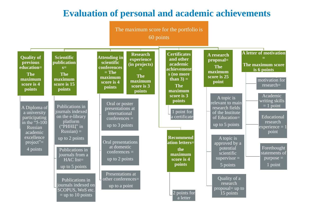### **Evaluation of personal and academic achievements**

The maximum score for the portfolio is 60 points

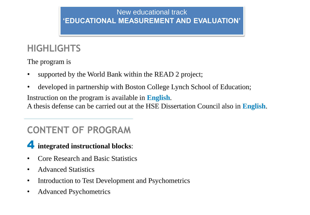### New educational track **'EDUCATIONAL MEASUREMENT AND EVALUATION'**

### **HIGHLIGHTS**

The program is

- supported by the World Bank within the READ 2 project;
- developed in partnership with Boston College Lynch School of Education;

Instruction on the program is available in **English**.

A thesis defense can be carried out at the HSE Dissertation Council also in **English**.

### **CONTENT OF PROGRAM**

### **integrated instructional blocks**: 4

- Core Research and Basic Statistics
- Advanced Statistics
- Introduction to Test Development and Psychometrics
- Advanced Psychometrics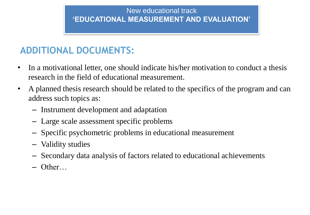### New educational track **'EDUCATIONAL MEASUREMENT AND EVALUATION'**

### **ADDITIONAL DOCUMENTS:**

- In a motivational letter, one should indicate his/her motivation to conduct a thesis research in the field of educational measurement.
- A planned thesis research should be related to the specifics of the program and can address such topics as:
	- Instrument development and adaptation
	- Large scale assessment specific problems
	- Specific psychometric problems in educational measurement
	- Validity studies
	- Secondary data analysis of factors related to educational achievements
	- Other…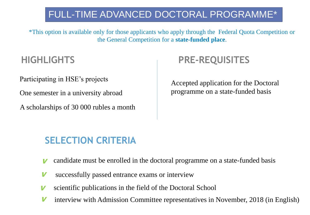### FULL-TIME ADVANCED DOCTORAL PROGRAMME\*

\*This option is available only for those applicants who apply through the Federal Quota Competition or the General Competition for a **state-funded place**.

Participating in HSE's projects

One semester in a university abroad

A scholarships of 30 000 rubles a month

### **HIGHLIGHTS PRE-REQUISITES**

Accepted application for the Doctoral programme on a state-funded basis

### **SELECTION CRITERIA**

- candidate must be enrolled in the doctoral programme on a state-funded basis V
- successfully passed entrance exams or interview V
- scientific publications in the field of the Doctoral School V
- <sup>V</sup> interview with Admission Committee representatives in November, 2018 (in English)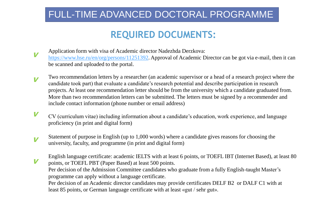### FULL-TIME ADVANCED DOCTORAL PROGRAMME

### **REQUIRED DOCUMENTS:**

- V Application form with visa of Academic director Nadezhda Derzkova: <https://www.hse.ru/en/org/persons/11251392>. Approval of Academic Director can be got via e-mail, then it can be scanned and uploaded to the portal.
- V Two recommendation letters by a researcher (an academic supervisor or a head of a research project where the candidate took part) that evaluate a candidate's research potential and describe participation in research projects. At least one recommendation letter should be from the university which a candidate graduated from. More than two recommendation letters can be submitted. The letters must be signed by a recommender and include contact information (phone number or email address)
- V CV (curriculum vitae) including information about a candidate's education, work experience, and language proficiency (in print and digital form)
- V Statement of purpose in English (up to 1,000 words) where a candidate gives reasons for choosing the university, faculty, and programme (in print and digital form)
- English language certificate: academic IELTS with at least 6 points, or TOEFL IBT (Internet Based), at least 80 points, or TOEFL PBT (Paper Based) at least 500 points. Per decision of the Admission Committee candidates who graduate from a fully English-taught Master's programme can apply without a language certificate. Per decision of an Academic director candidates may provide certificates DELF B2 or DALF C1 with at least 85 points, or German language certificate with at least «gut / sehr gut». V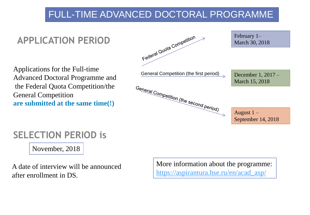### FULL-TIME ADVANCED DOCTORAL PROGRAMME



### **SELECTION PERIOD is**

November, 2018

A date of interview will be announced after enrollment in DS.

More information about the programme: [https://aspirantura.hse.ru/en/acad\\_asp/](https://aspirantura.hse.ru/en/acad_asp/)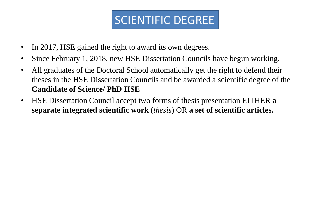# SCIENTIFIC DEGREE

- In 2017, HSE gained the right to award its own degrees.
- Since February 1, 2018, new HSE Dissertation Councils have begun working.
- All graduates of the Doctoral School automatically get the right to defend their theses in the HSE Dissertation Councils and be awarded a scientific degree of the **Candidate of Science/ PhD HSE**
- HSE Dissertation Council accept two forms of thesis presentation EITHER **a separate integrated scientific work** (*thesis*) OR **a set of scientific articles.**